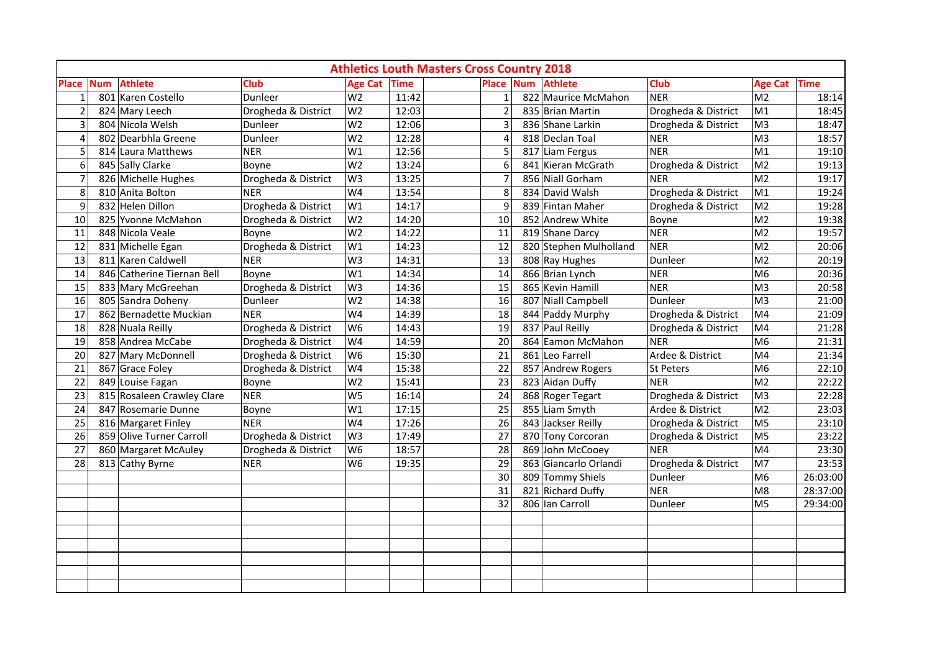| <b>Athletics Louth Masters Cross Country 2018</b> |            |                            |                     |                |       |                |  |                        |                     |                |          |
|---------------------------------------------------|------------|----------------------------|---------------------|----------------|-------|----------------|--|------------------------|---------------------|----------------|----------|
| <b>Place</b>                                      | <b>Num</b> | <b>Athlete</b>             | <b>Club</b>         | Age Cat Time   |       | <b>Place</b>   |  | <b>Num</b> Athlete     | Club                | Age Cat Time   |          |
| $\mathbf{1}$                                      |            | 801 Karen Costello         | Dunleer             | W <sub>2</sub> | 11:42 | $\mathbf{1}$   |  | 822 Maurice McMahon    | <b>NER</b>          | M <sub>2</sub> | 18:14    |
| $\overline{2}$                                    |            | 824 Mary Leech             | Drogheda & District | W <sub>2</sub> | 12:03 | $\overline{2}$ |  | 835 Brian Martin       | Drogheda & District | M1             | 18:45    |
| 3                                                 |            | 804 Nicola Welsh           | Dunleer             | W <sub>2</sub> | 12:06 | 3              |  | 836 Shane Larkin       | Drogheda & District | M <sub>3</sub> | 18:47    |
| $\overline{4}$                                    |            | 802 Dearbhla Greene        | Dunleer             | W <sub>2</sub> | 12:28 | 4              |  | 818 Declan Toal        | <b>NER</b>          | M <sub>3</sub> | 18:57    |
| 5                                                 |            | 814 Laura Matthews         | <b>NER</b>          | W1             | 12:56 | 5              |  | 817 Liam Fergus        | <b>NER</b>          | M <sub>1</sub> | 19:10    |
| 6                                                 |            | 845 Sally Clarke           | Boyne               | W <sub>2</sub> | 13:24 | 6              |  | 841 Kieran McGrath     | Drogheda & District | M <sub>2</sub> | 19:13    |
| $\overline{7}$                                    |            | 826 Michelle Hughes        | Drogheda & District | W <sub>3</sub> | 13:25 | $\overline{7}$ |  | 856 Niall Gorham       | <b>NER</b>          | M <sub>2</sub> | 19:17    |
| 8                                                 |            | 810 Anita Bolton           | <b>NER</b>          | W4             | 13:54 | 8              |  | 834 David Walsh        | Drogheda & District | M1             | 19:24    |
| 9                                                 |            | 832 Helen Dillon           | Drogheda & District | W1             | 14:17 | 9              |  | 839 Fintan Maher       | Drogheda & District | M <sub>2</sub> | 19:28    |
| 10                                                |            | 825 Yvonne McMahon         | Drogheda & District | W <sub>2</sub> | 14:20 | 10             |  | 852 Andrew White       | Boyne               | M <sub>2</sub> | 19:38    |
| 11                                                |            | 848 Nicola Veale           | Boyne               | W <sub>2</sub> | 14:22 | 11             |  | 819 Shane Darcy        | <b>NER</b>          | M <sub>2</sub> | 19:57    |
| 12                                                |            | 831 Michelle Egan          | Drogheda & District | W1             | 14:23 | 12             |  | 820 Stephen Mulholland | NER                 | M <sub>2</sub> | 20:06    |
| 13                                                |            | 811 Karen Caldwell         | NER                 | W <sub>3</sub> | 14:31 | 13             |  | 808 Ray Hughes         | Dunleer             | M <sub>2</sub> | 20:19    |
| 14                                                |            | 846 Catherine Tiernan Bell | Boyne               | W1             | 14:34 | 14             |  | 866 Brian Lynch        | <b>NER</b>          | M <sub>6</sub> | 20:36    |
| 15                                                |            | 833 Mary McGreehan         | Drogheda & District | W <sub>3</sub> | 14:36 | 15             |  | 865 Kevin Hamill       | <b>NER</b>          | M <sub>3</sub> | 20:58    |
| 16                                                |            | 805 Sandra Doheny          | Dunleer             | W <sub>2</sub> | 14:38 | 16             |  | 807 Niall Campbell     | Dunleer             | M <sub>3</sub> | 21:00    |
| 17                                                |            | 862 Bernadette Muckian     | NER                 | W4             | 14:39 | 18             |  | 844 Paddy Murphy       | Drogheda & District | M4             | 21:09    |
| 18                                                |            | 828 Nuala Reilly           | Drogheda & District | W <sub>6</sub> | 14:43 | 19             |  | 837 Paul Reilly        | Drogheda & District | M4             | 21:28    |
| 19                                                |            | 858 Andrea McCabe          | Drogheda & District | W4             | 14:59 | 20             |  | 864 Eamon McMahon      | <b>NER</b>          | M <sub>6</sub> | 21:31    |
| 20                                                |            | 827 Mary McDonnell         | Drogheda & District | W <sub>6</sub> | 15:30 | 21             |  | 861 Leo Farrell        | Ardee & District    | M4             | 21:34    |
| 21                                                |            | 867 Grace Foley            | Drogheda & District | W4             | 15:38 | 22             |  | 857 Andrew Rogers      | St Peters           | M <sub>6</sub> | 22:10    |
| 22                                                |            | 849 Louise Fagan           | Boyne               | W <sub>2</sub> | 15:41 | 23             |  | 823 Aidan Duffy        | <b>NER</b>          | M <sub>2</sub> | 22:22    |
| 23                                                |            | 815 Rosaleen Crawley Clare | NER                 | W <sub>5</sub> | 16:14 | 24             |  | 868 Roger Tegart       | Drogheda & District | M <sub>3</sub> | 22:28    |
| 24                                                |            | 847 Rosemarie Dunne        | Boyne               | W1             | 17:15 | 25             |  | 855 Liam Smyth         | Ardee & District    | M <sub>2</sub> | 23:03    |
| 25                                                |            | 816 Margaret Finley        | <b>NER</b>          | W4             | 17:26 | 26             |  | 843 Jackser Reilly     | Drogheda & District | M <sub>5</sub> | 23:10    |
| 26                                                |            | 859 Olive Turner Carroll   | Drogheda & District | W <sub>3</sub> | 17:49 | 27             |  | 870 Tony Corcoran      | Drogheda & District | M <sub>5</sub> | 23:22    |
| 27                                                |            | 860 Margaret McAuley       | Drogheda & District | W <sub>6</sub> | 18:57 | 28             |  | 869 John McCooey       | <b>NER</b>          | M4             | 23:30    |
| 28                                                |            | 813 Cathy Byrne            | <b>NER</b>          | W <sub>6</sub> | 19:35 | 29             |  | 863 Giancarlo Orlandi  | Drogheda & District | M7             | 23:53    |
|                                                   |            |                            |                     |                |       | 30             |  | 809 Tommy Shiels       | Dunleer             | M <sub>6</sub> | 26:03:00 |
|                                                   |            |                            |                     |                |       | 31             |  | 821 Richard Duffy      | <b>NER</b>          | M8             | 28:37:00 |
|                                                   |            |                            |                     |                |       | 32             |  | 806 Ian Carroll        | Dunleer             | M <sub>5</sub> | 29:34:00 |
|                                                   |            |                            |                     |                |       |                |  |                        |                     |                |          |
|                                                   |            |                            |                     |                |       |                |  |                        |                     |                |          |
|                                                   |            |                            |                     |                |       |                |  |                        |                     |                |          |
|                                                   |            |                            |                     |                |       |                |  |                        |                     |                |          |
|                                                   |            |                            |                     |                |       |                |  |                        |                     |                |          |
|                                                   |            |                            |                     |                |       |                |  |                        |                     |                |          |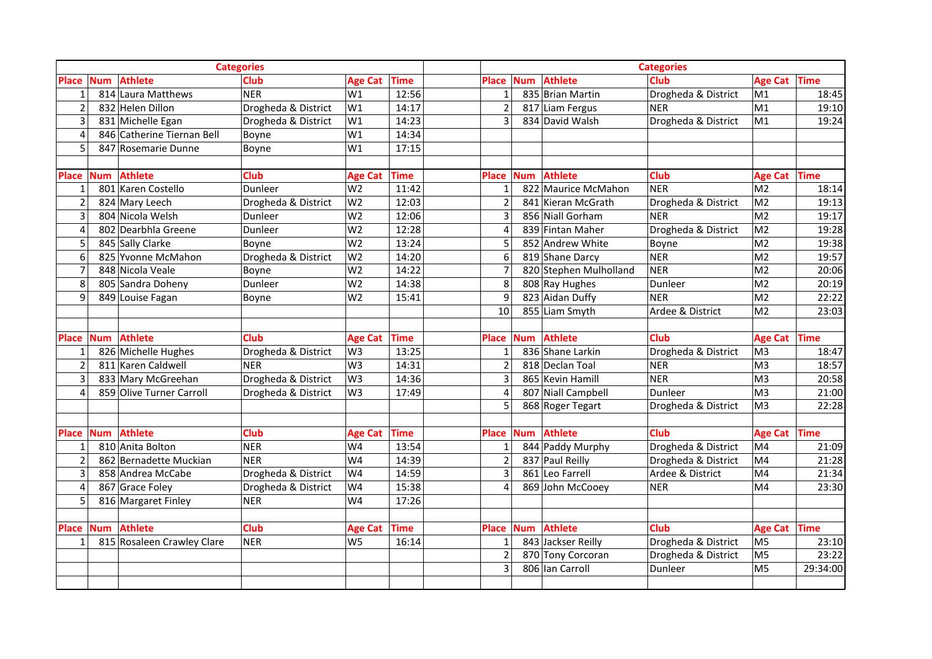| <b>Categories</b>        |            |                            |                     |                |             | <b>Categories</b>       |            |                        |                     |                |          |  |
|--------------------------|------------|----------------------------|---------------------|----------------|-------------|-------------------------|------------|------------------------|---------------------|----------------|----------|--|
| <b>Place</b>             | <b>Num</b> | <b>Athlete</b>             | <b>Club</b>         | <b>Age Cat</b> | <b>Time</b> | <b>Place</b>            | <b>Num</b> | <b>Athlete</b>         | Club                | Age Cat Time   |          |  |
| $\mathbf{1}$             |            | 814 Laura Matthews         | NER                 | W1             | 12:56       | $\mathbf{1}$            |            | 835 Brian Martin       | Drogheda & District | M1             | 18:45    |  |
|                          |            | 832 Helen Dillon           | Drogheda & District | W1             | 14:17       | $\overline{2}$          |            | 817 Liam Fergus        | <b>NER</b>          | M1             | 19:10    |  |
| 3                        |            | 831 Michelle Egan          | Drogheda & District | W1             | 14:23       | $\overline{3}$          |            | 834 David Walsh        | Drogheda & District | M1             | 19:24    |  |
| $\overline{4}$           |            | 846 Catherine Tiernan Bell | Boyne               | W1             | 14:34       |                         |            |                        |                     |                |          |  |
| 5                        |            | 847 Rosemarie Dunne        | Boyne               | W1             | 17:15       |                         |            |                        |                     |                |          |  |
|                          |            |                            |                     |                |             |                         |            |                        |                     |                |          |  |
| <b>Place</b>             | <b>Num</b> | <b>Athlete</b>             | <b>Club</b>         | <b>Age Cat</b> | <b>Time</b> | <b>Place</b>            | <b>Num</b> | <b>Athlete</b>         | Club                | Age Cat Time   |          |  |
|                          |            | 801 Karen Costello         | Dunleer             | W <sub>2</sub> | 11:42       | $\mathbf{1}$            |            | 822 Maurice McMahon    | <b>NER</b>          | M <sub>2</sub> | 18:14    |  |
| $\overline{2}$           |            | 824 Mary Leech             | Drogheda & District | W <sub>2</sub> | 12:03       | $\overline{2}$          |            | 841 Kieran McGrath     | Drogheda & District | M <sub>2</sub> | 19:13    |  |
| $\overline{3}$           |            | 804 Nicola Welsh           | Dunleer             | W <sub>2</sub> | 12:06       | $\overline{\mathbf{3}}$ |            | 856 Niall Gorham       | <b>NER</b>          | M <sub>2</sub> | 19:17    |  |
| 4                        |            | 802 Dearbhla Greene        | Dunleer             | W <sub>2</sub> | 12:28       | $\overline{4}$          |            | 839 Fintan Maher       | Drogheda & District | M <sub>2</sub> | 19:28    |  |
| -5                       |            | 845 Sally Clarke           | Boyne               | W <sub>2</sub> | 13:24       | 5                       |            | 852 Andrew White       | Boyne               | M <sub>2</sub> | 19:38    |  |
| 6                        |            | 825 Yvonne McMahon         | Drogheda & District | W <sub>2</sub> | 14:20       | 6                       |            | 819 Shane Darcy        | <b>NER</b>          | M <sub>2</sub> | 19:57    |  |
| $\overline{7}$           |            | 848 Nicola Veale           | Boyne               | W <sub>2</sub> | 14:22       | $\overline{7}$          |            | 820 Stephen Mulholland | <b>NER</b>          | M <sub>2</sub> | 20:06    |  |
| 8                        |            | 805 Sandra Doheny          | Dunleer             | W <sub>2</sub> | 14:38       | 8                       |            | 808 Ray Hughes         | Dunleer             | M <sub>2</sub> | 20:19    |  |
| $\mathbf{q}$             |            | 849 Louise Fagan           | Boyne               | W <sub>2</sub> | 15:41       | 9                       |            | 823 Aidan Duffy        | <b>NER</b>          | M <sub>2</sub> | 22:22    |  |
|                          |            |                            |                     |                |             | 10                      |            | 855 Liam Smyth         | Ardee & District    | M <sub>2</sub> | 23:03    |  |
|                          |            |                            |                     |                |             |                         |            |                        |                     |                |          |  |
| <b>Place</b>             | <b>Num</b> | <b>Athlete</b>             | Club                | <b>Age Cat</b> | <b>Time</b> | <b>Place</b>            | <b>Num</b> | <b>Athlete</b>         | <b>Club</b>         | Age Cat Time   |          |  |
|                          |            | 826 Michelle Hughes        | Drogheda & District | W <sub>3</sub> | 13:25       | 1                       |            | 836 Shane Larkin       | Drogheda & District | M <sub>3</sub> | 18:47    |  |
| $\overline{\phantom{a}}$ |            | 811 Karen Caldwell         | <b>NER</b>          | W <sub>3</sub> | 14:31       | $\overline{2}$          |            | 818 Declan Toal        | <b>NER</b>          | M <sub>3</sub> | 18:57    |  |
|                          |            | 833 Mary McGreehan         | Drogheda & District | W <sub>3</sub> | 14:36       | $\overline{3}$          |            | 865 Kevin Hamill       | <b>NER</b>          | M <sub>3</sub> | 20:58    |  |
| $\overline{4}$           |            | 859 Olive Turner Carroll   | Drogheda & District | W <sub>3</sub> | 17:49       | $\overline{4}$          |            | 807 Niall Campbell     | Dunleer             | M <sub>3</sub> | 21:00    |  |
|                          |            |                            |                     |                |             | 5                       |            | 868 Roger Tegart       | Drogheda & District | M <sub>3</sub> | 22:28    |  |
|                          |            |                            |                     |                |             |                         |            |                        |                     |                |          |  |
| <b>Place</b>             | <b>Num</b> | <b>Athlete</b>             | <b>Club</b>         | <b>Age Cat</b> | <b>Time</b> | <b>Place</b>            | <b>Num</b> | <b>Athlete</b>         | Club                | Age Cat Time   |          |  |
| -1                       |            | 810 Anita Bolton           | NER                 | W4             | 13:54       | $\mathbf{1}$            |            | 844 Paddy Murphy       | Drogheda & District | M <sub>4</sub> | 21:09    |  |
| $\overline{2}$           |            | 862 Bernadette Muckian     | NER                 | W4             | 14:39       | $\overline{2}$          |            | 837 Paul Reilly        | Drogheda & District | M <sub>4</sub> | 21:28    |  |
| 3                        |            | 858 Andrea McCabe          | Drogheda & District | W4             | 14:59       | $\overline{\mathbf{3}}$ |            | 861 Leo Farrell        | Ardee & District    | M4             | 21:34    |  |
| $\boldsymbol{\Delta}$    |            | 867 Grace Foley            | Drogheda & District | W4             | 15:38       | $\overline{4}$          |            | 869 John McCooey       | <b>NER</b>          | M <sub>4</sub> | 23:30    |  |
| 5                        |            | 816 Margaret Finley        | <b>NER</b>          | W4             | 17:26       |                         |            |                        |                     |                |          |  |
|                          |            |                            |                     |                |             |                         |            |                        |                     |                |          |  |
| <b>Place</b>             | <b>Num</b> | <b>Athlete</b>             | <b>Club</b>         | <b>Age Cat</b> | <b>Time</b> | <b>Place</b>            | <b>Num</b> | <b>Athlete</b>         | Club                | Age Cat Time   |          |  |
|                          |            | 815 Rosaleen Crawley Clare | NER                 | W <sub>5</sub> | 16:14       | 1                       |            | 843 Jackser Reilly     | Drogheda & District | M <sub>5</sub> | 23:10    |  |
|                          |            |                            |                     |                |             | $\overline{2}$          |            | 870 Tony Corcoran      | Drogheda & District | M <sub>5</sub> | 23:22    |  |
|                          |            |                            |                     |                |             | $\overline{3}$          |            | 806 Ian Carroll        | Dunleer             | M <sub>5</sub> | 29:34:00 |  |
|                          |            |                            |                     |                |             |                         |            |                        |                     |                |          |  |